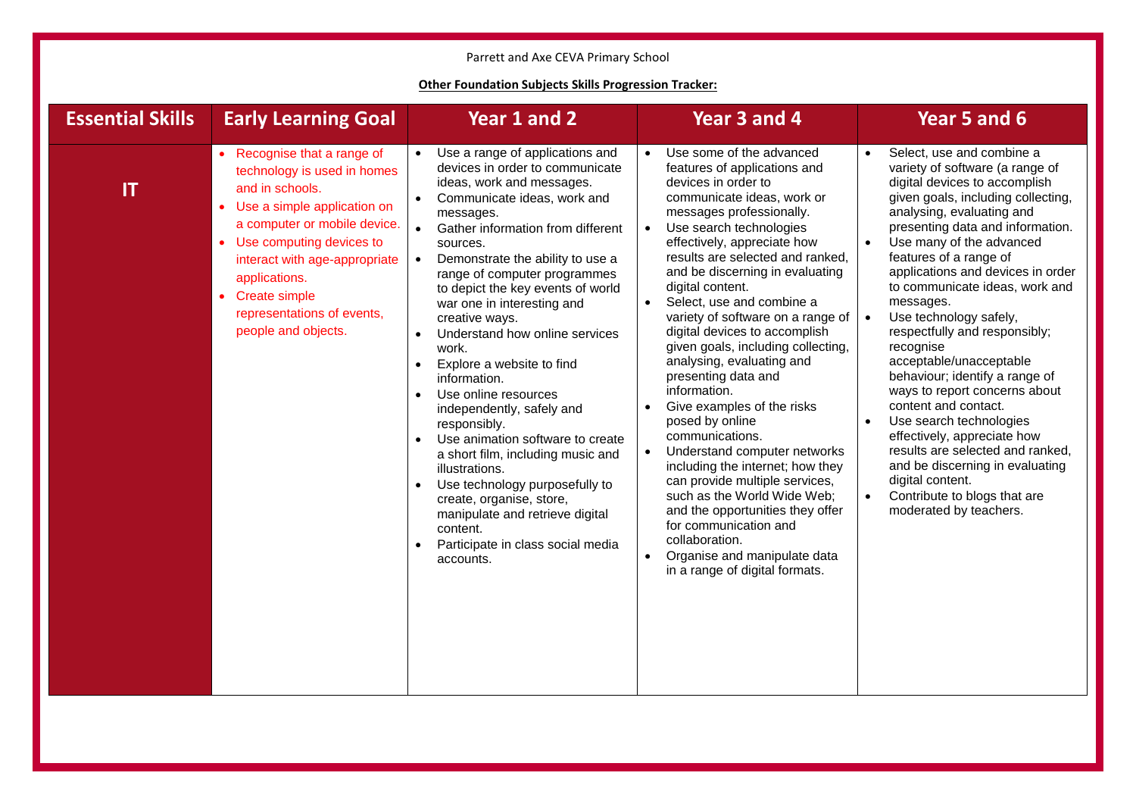## Parrett and Axe CEVA Primary School

## **Other Foundation Subjects Skills Progression Tracker:**

| <b>Essential Skills</b> | <b>Early Learning Goal</b>                                                                                                                                                                                                                                                                                               | Year 1 and 2                                                                                                                                                                                                                                                                                                                                                                                                                                                                                                                                                                                                                                                                                                                                                                                                                                                                         | Year 3 and 4                                                                                                                                                                                                                                                                                                                                                                                                                                                                                                                                                                                                                                                                                                                                                                                                                                                          | Year 5 and 6                                                                                                                                                                                                                                                                                                                                                                                                                                                                                                                                                                                                                                                                                                                                                                          |
|-------------------------|--------------------------------------------------------------------------------------------------------------------------------------------------------------------------------------------------------------------------------------------------------------------------------------------------------------------------|--------------------------------------------------------------------------------------------------------------------------------------------------------------------------------------------------------------------------------------------------------------------------------------------------------------------------------------------------------------------------------------------------------------------------------------------------------------------------------------------------------------------------------------------------------------------------------------------------------------------------------------------------------------------------------------------------------------------------------------------------------------------------------------------------------------------------------------------------------------------------------------|-----------------------------------------------------------------------------------------------------------------------------------------------------------------------------------------------------------------------------------------------------------------------------------------------------------------------------------------------------------------------------------------------------------------------------------------------------------------------------------------------------------------------------------------------------------------------------------------------------------------------------------------------------------------------------------------------------------------------------------------------------------------------------------------------------------------------------------------------------------------------|---------------------------------------------------------------------------------------------------------------------------------------------------------------------------------------------------------------------------------------------------------------------------------------------------------------------------------------------------------------------------------------------------------------------------------------------------------------------------------------------------------------------------------------------------------------------------------------------------------------------------------------------------------------------------------------------------------------------------------------------------------------------------------------|
| IT                      | • Recognise that a range of<br>technology is used in homes<br>and in schools.<br>• Use a simple application on<br>a computer or mobile device.<br>• Use computing devices to<br>interact with age-appropriate<br>applications.<br><b>Create simple</b><br>$\bullet$<br>representations of events,<br>people and objects. | Use a range of applications and<br>$\bullet$<br>devices in order to communicate<br>ideas, work and messages.<br>Communicate ideas, work and<br>$\bullet$<br>messages.<br>Gather information from different<br>$\bullet$<br>sources.<br>Demonstrate the ability to use a<br>$\bullet$<br>range of computer programmes<br>to depict the key events of world<br>war one in interesting and<br>creative ways.<br>Understand how online services<br>$\bullet$<br>work.<br>Explore a website to find<br>$\bullet$<br>information.<br>Use online resources<br>$\bullet$<br>independently, safely and<br>responsibly.<br>Use animation software to create<br>$\bullet$<br>a short film, including music and<br>illustrations.<br>Use technology purposefully to<br>create, organise, store,<br>manipulate and retrieve digital<br>content.<br>Participate in class social media<br>accounts. | Use some of the advanced<br>features of applications and<br>devices in order to<br>communicate ideas, work or<br>messages professionally.<br>Use search technologies<br>effectively, appreciate how<br>results are selected and ranked,<br>and be discerning in evaluating<br>digital content.<br>Select, use and combine a<br>variety of software on a range of<br>digital devices to accomplish<br>given goals, including collecting,<br>analysing, evaluating and<br>presenting data and<br>information.<br>Give examples of the risks<br>posed by online<br>communications.<br>Understand computer networks<br>including the internet; how they<br>can provide multiple services,<br>such as the World Wide Web;<br>and the opportunities they offer<br>for communication and<br>collaboration.<br>Organise and manipulate data<br>in a range of digital formats. | Select, use and combine a<br>variety of software (a range of<br>digital devices to accomplish<br>given goals, including collecting,<br>analysing, evaluating and<br>presenting data and information.<br>Use many of the advanced<br>features of a range of<br>applications and devices in order<br>to communicate ideas, work and<br>messages.<br>Use technology safely,<br>$\bullet$<br>respectfully and responsibly;<br>recognise<br>acceptable/unacceptable<br>behaviour; identify a range of<br>ways to report concerns about<br>content and contact.<br>Use search technologies<br>effectively, appreciate how<br>results are selected and ranked,<br>and be discerning in evaluating<br>digital content.<br>Contribute to blogs that are<br>$\bullet$<br>moderated by teachers. |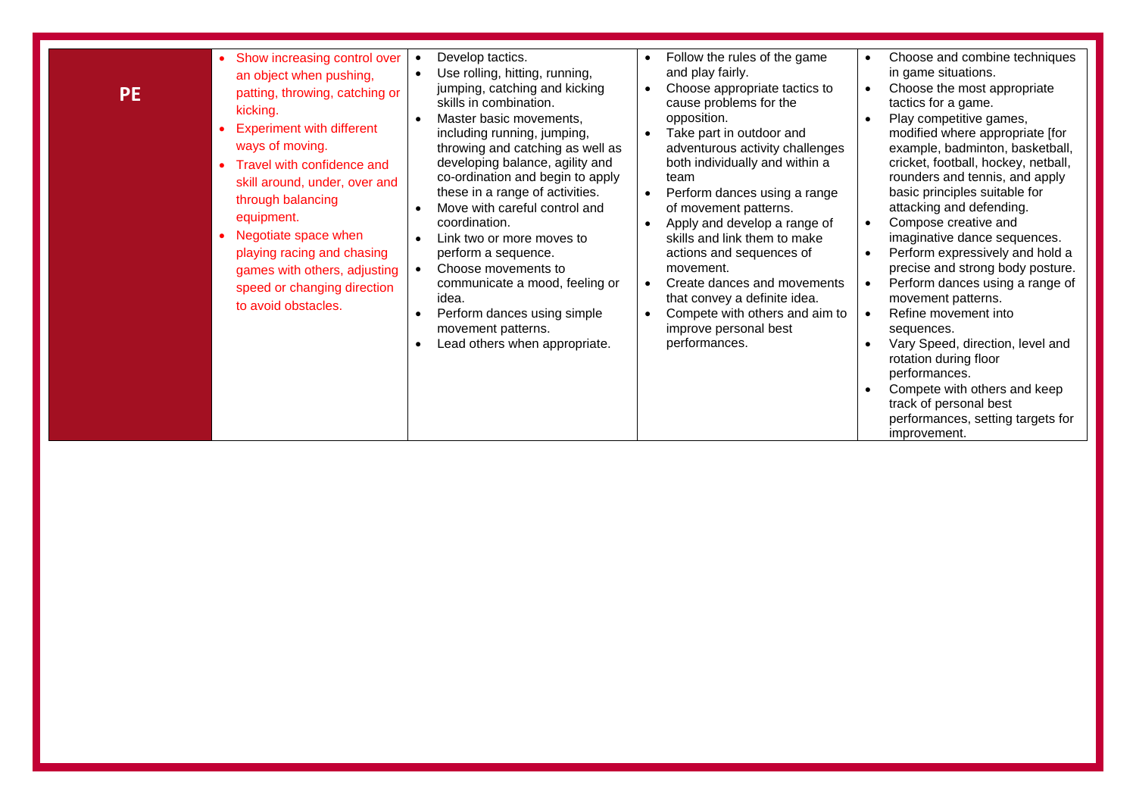| <b>PE</b> | • Show increasing control over<br>an object when pushing,<br>patting, throwing, catching or<br>kicking.<br><b>Experiment with different</b><br>ways of moving.<br>• Travel with confidence and<br>skill around, under, over and<br>through balancing<br>equipment.<br>Negotiate space when<br>playing racing and chasing<br>games with others, adjusting<br>speed or changing direction<br>to avoid obstacles. | Develop tactics.<br>Use rolling, hitting, running,<br>jumping, catching and kicking<br>skills in combination.<br>Master basic movements,<br>including running, jumping,<br>throwing and catching as well as<br>developing balance, agility and<br>co-ordination and begin to apply<br>these in a range of activities.<br>Move with careful control and<br>coordination.<br>Link two or more moves to<br>perform a sequence.<br>Choose movements to<br>communicate a mood, feeling or<br>idea.<br>Perform dances using simple<br>movement patterns.<br>Lead others when appropriate. | Follow the rules of the game<br>$\bullet$<br>and play fairly.<br>Choose appropriate tactics to<br>$\bullet$<br>cause problems for the<br>opposition.<br>Take part in outdoor and<br>adventurous activity challenges<br>both individually and within a<br>team<br>Perform dances using a range<br>$\bullet$<br>of movement patterns.<br>Apply and develop a range of<br>skills and link them to make<br>actions and sequences of<br>movement.<br>Create dances and movements<br>that convey a definite idea.<br>Compete with others and aim to<br>improve personal best<br>performances. | Choose and combine techniques<br>$\bullet$<br>in game situations.<br>Choose the most appropriate<br>$\bullet$<br>tactics for a game.<br>Play competitive games,<br>modified where appropriate [for<br>example, badminton, basketball,<br>cricket, football, hockey, netball,<br>rounders and tennis, and apply<br>basic principles suitable for<br>attacking and defending.<br>Compose creative and<br>$\bullet$<br>imaginative dance sequences.<br>Perform expressively and hold a<br>$\bullet$<br>precise and strong body posture.<br>Perform dances using a range of<br>$\bullet$<br>movement patterns.<br>Refine movement into<br>$\bullet$<br>sequences.<br>Vary Speed, direction, level and<br>rotation during floor<br>performances.<br>Compete with others and keep<br>track of personal best<br>performances, setting targets for<br>improvement. |
|-----------|----------------------------------------------------------------------------------------------------------------------------------------------------------------------------------------------------------------------------------------------------------------------------------------------------------------------------------------------------------------------------------------------------------------|-------------------------------------------------------------------------------------------------------------------------------------------------------------------------------------------------------------------------------------------------------------------------------------------------------------------------------------------------------------------------------------------------------------------------------------------------------------------------------------------------------------------------------------------------------------------------------------|-----------------------------------------------------------------------------------------------------------------------------------------------------------------------------------------------------------------------------------------------------------------------------------------------------------------------------------------------------------------------------------------------------------------------------------------------------------------------------------------------------------------------------------------------------------------------------------------|------------------------------------------------------------------------------------------------------------------------------------------------------------------------------------------------------------------------------------------------------------------------------------------------------------------------------------------------------------------------------------------------------------------------------------------------------------------------------------------------------------------------------------------------------------------------------------------------------------------------------------------------------------------------------------------------------------------------------------------------------------------------------------------------------------------------------------------------------------|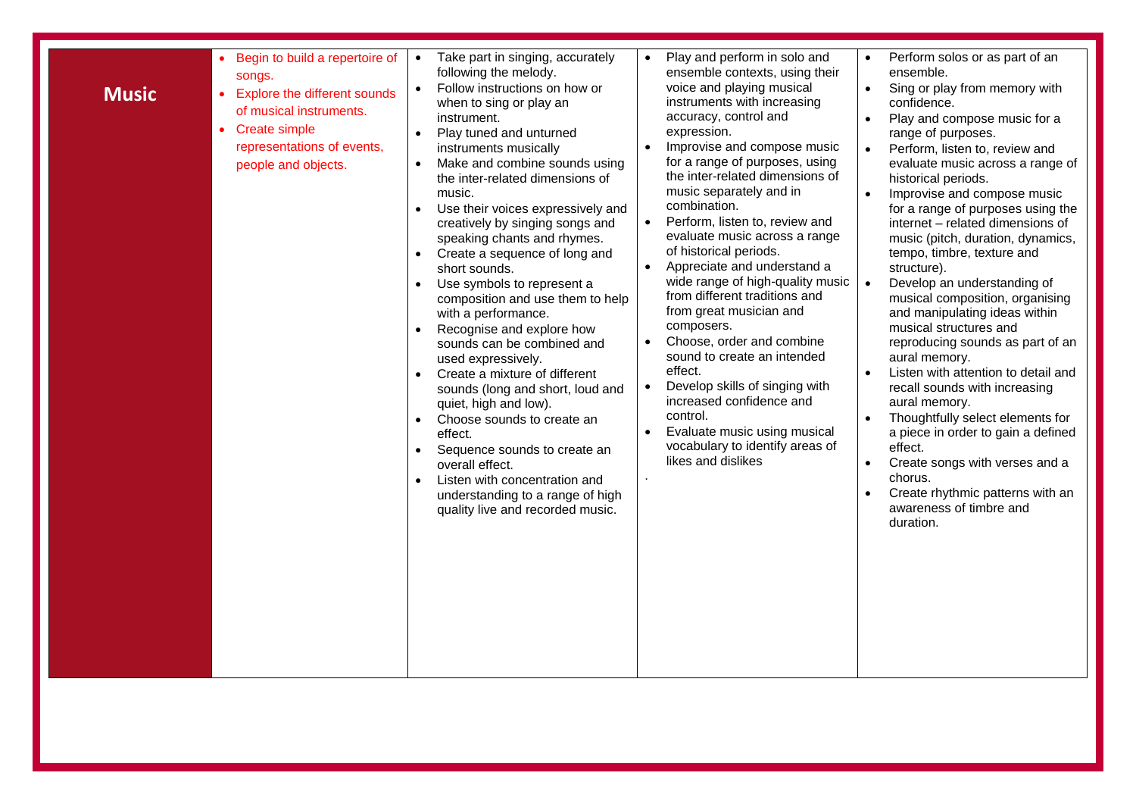| Begin to build a repertoire of<br>$\bullet$<br>songs.<br>$\bullet$<br><b>Music</b><br>• Explore the different sounds<br>of musical instruments.<br>• Create simple<br>$\bullet$<br>representations of events,<br>people and objects.<br>$\bullet$<br>$\bullet$<br>$\bullet$<br>$\bullet$<br>$\bullet$ | Take part in singing, accurately<br>following the melody.<br>Follow instructions on how or<br>when to sing or play an<br>instrument.<br>Play tuned and unturned<br>instruments musically<br>Make and combine sounds using<br>the inter-related dimensions of<br>music.<br>Use their voices expressively and<br>creatively by singing songs and<br>speaking chants and rhymes.<br>Create a sequence of long and<br>short sounds.<br>Use symbols to represent a<br>composition and use them to help<br>with a performance.<br>Recognise and explore how<br>sounds can be combined and<br>used expressively.<br>Create a mixture of different<br>sounds (long and short, loud and<br>quiet, high and low).<br>Choose sounds to create an<br>effect.<br>Sequence sounds to create an<br>overall effect.<br>Listen with concentration and<br>understanding to a range of high<br>quality live and recorded music. | Play and perform in solo and<br>ensemble contexts, using their<br>voice and playing musical<br>instruments with increasing<br>accuracy, control and<br>expression.<br>Improvise and compose music<br>$\bullet$<br>for a range of purposes, using<br>the inter-related dimensions of<br>music separately and in<br>combination.<br>Perform, listen to, review and<br>$\bullet$<br>evaluate music across a range<br>of historical periods.<br>Appreciate and understand a<br>$\bullet$<br>wide range of high-quality music<br>from different traditions and<br>from great musician and<br>composers.<br>Choose, order and combine<br>$\bullet$<br>sound to create an intended<br>effect.<br>Develop skills of singing with<br>$\bullet$<br>increased confidence and<br>control.<br>Evaluate music using musical<br>vocabulary to identify areas of<br>likes and dislikes<br>¥. | Perform solos or as part of an<br>ensemble.<br>Sing or play from memory with<br>$\bullet$<br>confidence.<br>Play and compose music for a<br>$\bullet$<br>range of purposes.<br>Perform, listen to, review and<br>$\bullet$<br>evaluate music across a range of<br>historical periods.<br>Improvise and compose music<br>$\bullet$<br>for a range of purposes using the<br>internet - related dimensions of<br>music (pitch, duration, dynamics,<br>tempo, timbre, texture and<br>structure).<br>$\bullet$<br>Develop an understanding of<br>musical composition, organising<br>and manipulating ideas within<br>musical structures and<br>reproducing sounds as part of an<br>aural memory.<br>Listen with attention to detail and<br>$\bullet$<br>recall sounds with increasing<br>aural memory.<br>Thoughtfully select elements for<br>a piece in order to gain a defined<br>effect.<br>Create songs with verses and a<br>$\bullet$<br>chorus.<br>Create rhythmic patterns with an<br>$\bullet$<br>awareness of timbre and<br>duration. |
|-------------------------------------------------------------------------------------------------------------------------------------------------------------------------------------------------------------------------------------------------------------------------------------------------------|--------------------------------------------------------------------------------------------------------------------------------------------------------------------------------------------------------------------------------------------------------------------------------------------------------------------------------------------------------------------------------------------------------------------------------------------------------------------------------------------------------------------------------------------------------------------------------------------------------------------------------------------------------------------------------------------------------------------------------------------------------------------------------------------------------------------------------------------------------------------------------------------------------------|------------------------------------------------------------------------------------------------------------------------------------------------------------------------------------------------------------------------------------------------------------------------------------------------------------------------------------------------------------------------------------------------------------------------------------------------------------------------------------------------------------------------------------------------------------------------------------------------------------------------------------------------------------------------------------------------------------------------------------------------------------------------------------------------------------------------------------------------------------------------------|-------------------------------------------------------------------------------------------------------------------------------------------------------------------------------------------------------------------------------------------------------------------------------------------------------------------------------------------------------------------------------------------------------------------------------------------------------------------------------------------------------------------------------------------------------------------------------------------------------------------------------------------------------------------------------------------------------------------------------------------------------------------------------------------------------------------------------------------------------------------------------------------------------------------------------------------------------------------------------------------------------------------------------------------|
|-------------------------------------------------------------------------------------------------------------------------------------------------------------------------------------------------------------------------------------------------------------------------------------------------------|--------------------------------------------------------------------------------------------------------------------------------------------------------------------------------------------------------------------------------------------------------------------------------------------------------------------------------------------------------------------------------------------------------------------------------------------------------------------------------------------------------------------------------------------------------------------------------------------------------------------------------------------------------------------------------------------------------------------------------------------------------------------------------------------------------------------------------------------------------------------------------------------------------------|------------------------------------------------------------------------------------------------------------------------------------------------------------------------------------------------------------------------------------------------------------------------------------------------------------------------------------------------------------------------------------------------------------------------------------------------------------------------------------------------------------------------------------------------------------------------------------------------------------------------------------------------------------------------------------------------------------------------------------------------------------------------------------------------------------------------------------------------------------------------------|-------------------------------------------------------------------------------------------------------------------------------------------------------------------------------------------------------------------------------------------------------------------------------------------------------------------------------------------------------------------------------------------------------------------------------------------------------------------------------------------------------------------------------------------------------------------------------------------------------------------------------------------------------------------------------------------------------------------------------------------------------------------------------------------------------------------------------------------------------------------------------------------------------------------------------------------------------------------------------------------------------------------------------------------|